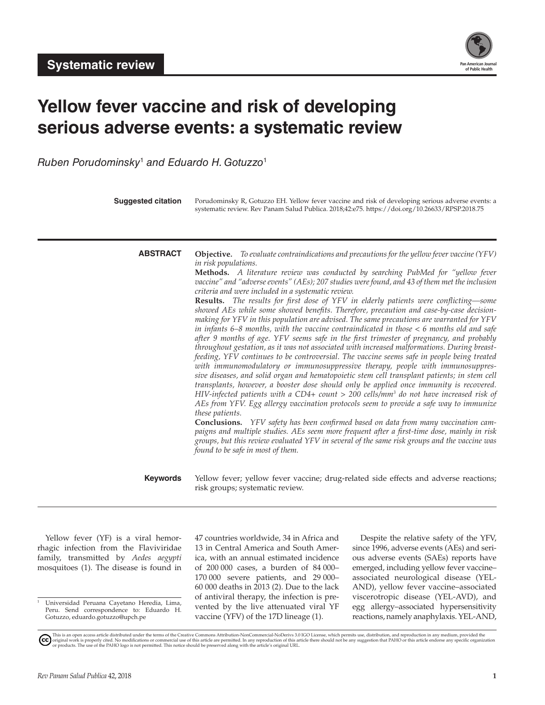

# **Yellow fever vaccine and risk of developing serious adverse events: a systematic review**

*Ruben Porudominsky*<sup>1</sup>  *and Eduardo H. Gotuzzo*<sup>1</sup>

| <b>Suggested citation</b> | Porudominsky R, Gotuzzo EH. Yellow fever vaccine and risk of developing serious adverse events: a<br>systematic review. Rev Panam Salud Publica. 2018;42:e75. https://doi.org/10.26633/RPSP.2018.75                                                                                                                                                                                                                                                                                                                                                                                                                                                                                                                                                                                                                                                                                                                                                                                                                                                                                                                                                                                                                                                                                                                                                                                                                                                                                                                                                                                                                                                                                                                                                                                                                                                                            |
|---------------------------|--------------------------------------------------------------------------------------------------------------------------------------------------------------------------------------------------------------------------------------------------------------------------------------------------------------------------------------------------------------------------------------------------------------------------------------------------------------------------------------------------------------------------------------------------------------------------------------------------------------------------------------------------------------------------------------------------------------------------------------------------------------------------------------------------------------------------------------------------------------------------------------------------------------------------------------------------------------------------------------------------------------------------------------------------------------------------------------------------------------------------------------------------------------------------------------------------------------------------------------------------------------------------------------------------------------------------------------------------------------------------------------------------------------------------------------------------------------------------------------------------------------------------------------------------------------------------------------------------------------------------------------------------------------------------------------------------------------------------------------------------------------------------------------------------------------------------------------------------------------------------------|
| <b>ABSTRACT</b>           | <b>Objective.</b> To evaluate contraindications and precautions for the yellow fever vaccine (YFV)<br>in risk populations.<br>Methods. A literature review was conducted by searching PubMed for "yellow fever<br>vaccine" and "adverse events" (AEs); 207 studies were found, and 43 of them met the inclusion<br>criteria and were included in a systematic review.<br><b>Results.</b> The results for first dose of YFV in elderly patients were conflicting—some<br>showed AEs while some showed benefits. Therefore, precaution and case-by-case decision-<br>making for YFV in this population are advised. The same precautions are warranted for YFV<br>in infants 6–8 months, with the vaccine contraindicated in those $\lt 6$ months old and safe<br>after 9 months of age. YFV seems safe in the first trimester of pregnancy, and probably<br>throughout gestation, as it was not associated with increased malformations. During breast-<br>feeding, YFV continues to be controversial. The vaccine seems safe in people being treated<br>with immunomodulatory or immunosuppressive therapy, people with immunosuppres-<br>sive diseases, and solid organ and hematopoietic stem cell transplant patients; in stem cell<br>transplants, however, a booster dose should only be applied once immunity is recovered.<br>HIV-infected patients with a CD4+ count > 200 cells/mm <sup>3</sup> do not have increased risk of<br>AEs from YFV. Egg allergy vaccination protocols seem to provide a safe way to immunize<br>these patients.<br>Conclusions. YFV safety has been confirmed based on data from many vaccination cam-<br>paigns and multiple studies. AEs seem more frequent after a first-time dose, mainly in risk<br>groups, but this review evaluated YFV in several of the same risk groups and the vaccine was<br>found to be safe in most of them. |
| <b>Keywords</b>           | Yellow fever; yellow fever vaccine; drug-related side effects and adverse reactions;<br>risk groups; systematic review.                                                                                                                                                                                                                                                                                                                                                                                                                                                                                                                                                                                                                                                                                                                                                                                                                                                                                                                                                                                                                                                                                                                                                                                                                                                                                                                                                                                                                                                                                                                                                                                                                                                                                                                                                        |

Yellow fever (YF) is a viral hemorrhagic infection from the Flaviviridae family, transmitted by *Aedes aegypti* mosquitoes (1). The disease is found in

<sup>1</sup> Universidad Peruana Cayetano Heredia, Lima, Peru. Send correspondence to: Eduardo H. Gotuzzo, eduardo.gotuzzo@upch.pe

47 countries worldwide, 34 in Africa and 13 in Central America and South America, with an annual estimated incidence of 200 000 cases, a burden of 84 000– 170 000 severe patients, and 29 000– 60 000 deaths in 2013 (2). Due to the lack of antiviral therapy, the infection is prevented by the live attenuated viral YF vaccine (YFV) of the 17D lineage (1).

Despite the relative safety of the YFV, since 1996, adverse events (AEs) and serious adverse events (SAEs) reports have emerged, including yellow fever vaccine– associated neurological disease (YEL-AND), yellow fever vaccine–associated viscerotropic disease (YEL-AVD), and egg allergy–associated hypersensitivity reactions, namely anaphylaxis. YEL-AND,

This is an open access article distributed under the terms of the [Creative Commons Attribution-NonCommercial-NoDerivs 3.0 IGO](https://creativecommons.org/licenses/by-nc-nd/3.0/igo/legalcode) License, which permits use, distribution, and reproduction in any medium, provided the<br>orignal w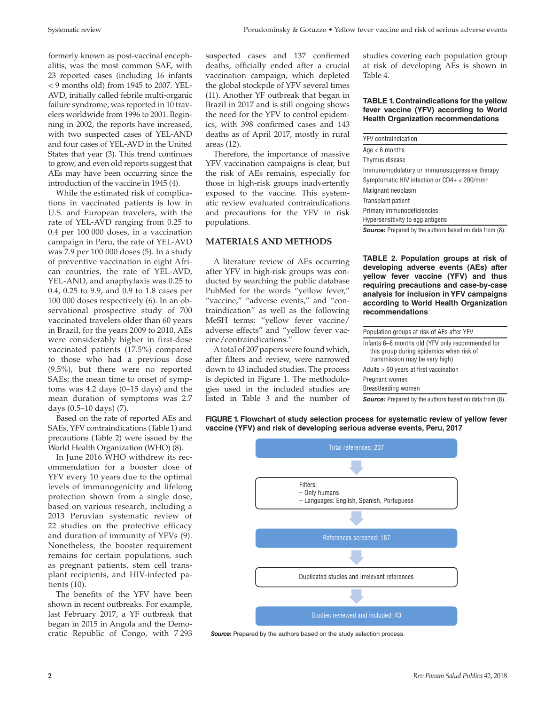Systematic review Porudominsky & Gotuzzo • Yellow fever vaccine and risk of serious adverse events

formerly known as post-vaccinal encephalitis, was the most common SAE, with 23 reported cases (including 16 infants < 9 months old) from 1945 to 2007. YEL-AVD, initially called febrile multi-organic failure syndrome, was reported in 10 travelers worldwide from 1996 to 2001. Beginning in 2002, the reports have increased, with two suspected cases of YEL-AND and four cases of YEL-AVD in the United States that year (3). This trend continues to grow, and even old reports suggest that AEs may have been occurring since the introduction of the vaccine in 1945 (4).

While the estimated risk of complications in vaccinated patients is low in U.S. and European travelers, with the rate of YEL-AVD ranging from 0.25 to 0.4 per 100 000 doses, in a vaccination campaign in Peru, the rate of YEL-AVD was 7.9 per 100 000 doses (5). In a study of preventive vaccination in eight African countries, the rate of YEL-AVD, YEL-AND, and anaphylaxis was 0.25 to 0.4, 0.25 to 9.9, and 0.9 to 1.8 cases per 100 000 doses respectively (6). In an observational prospective study of 700 vaccinated travelers older than 60 years in Brazil, for the years 2009 to 2010, AEs were considerably higher in first-dose vaccinated patients (17.5%) compared to those who had a previous dose (9.5%), but there were no reported SAEs; the mean time to onset of symptoms was 4.2 days (0–15 days) and the mean duration of symptoms was 2.7 days (0.5–10 days) (7).

Based on the rate of reported AEs and SAEs, YFV contraindications (Table 1) and precautions (Table 2) were issued by the World Health Organization (WHO) (8).

In June 2016 WHO withdrew its recommendation for a booster dose of YFV every 10 years due to the optimal levels of immunogenicity and lifelong protection shown from a single dose, based on various research, including a 2013 Peruvian systematic review of 22 studies on the protective efficacy and duration of immunity of YFVs (9). Nonetheless, the booster requirement remains for certain populations, such as pregnant patients, stem cell transplant recipients, and HIV-infected patients (10).

The benefits of the YFV have been shown in recent outbreaks. For example, last February 2017, a YF outbreak that began in 2015 in Angola and the Democratic Republic of Congo, with 7 293

suspected cases and 137 confirmed deaths, officially ended after a crucial vaccination campaign, which depleted the global stockpile of YFV several times (11). Another YF outbreak that began in Brazil in 2017 and is still ongoing shows the need for the YFV to control epidemics, with 398 confirmed cases and 143 deaths as of April 2017, mostly in rural areas (12).

Therefore, the importance of massive YFV vaccination campaigns is clear, but the risk of AEs remains, especially for those in high-risk groups inadvertently exposed to the vaccine. This systematic review evaluated contraindications and precautions for the YFV in risk populations.

#### **MATERIALS AND METHODS**

A literature review of AEs occurring after YFV in high-risk groups was conducted by searching the public database PubMed for the words "yellow fever," "vaccine," "adverse events," and "contraindication" as well as the following MeSH terms: "yellow fever vaccine/ adverse effects" and "yellow fever vaccine/contraindications."

A total of 207 papers were found which, after filters and review, were narrowed down to 43 included studies. The process is depicted in Figure 1. The methodologies used in the included studies are listed in Table 3 and the number of studies covering each population group at risk of developing AEs is shown in Table 4.

#### **TABLE 1. Contraindications for the yellow fever vaccine (YFV) according to World Health Organization recommendations**

| <b>YFV</b> contraindication                   |
|-----------------------------------------------|
| $Age < 6$ months                              |
| Thymus disease                                |
| Immunomodulatory or immunosuppressive therapy |
| Symptomatic HIV infection or $CD4 + 200/mm^3$ |
| Malignant neoplasm                            |
| Transplant patient                            |
| Primary immunodeficiencies                    |
| Hypersensitivity to egg antigens              |
|                                               |

**Source:** Prepared by the authors based on data from (8).

**TABLE 2. Population groups at risk of developing adverse events (AEs) after yellow fever vaccine (YFV) and thus requiring precautions and case-by-case analysis for inclusion in YFV campaigns according to World Health Organization recommendations**

| Carriers: Disponsed but the puthous begand an data from (0)                                                                    |  |  |
|--------------------------------------------------------------------------------------------------------------------------------|--|--|
| Breastfeeding women                                                                                                            |  |  |
| Pregnant women                                                                                                                 |  |  |
| Adults > 60 years at first vaccination                                                                                         |  |  |
| Infants 6–8 months old (YFV only recommended for<br>this group during epidemics when risk of<br>transmission may be very high) |  |  |
|                                                                                                                                |  |  |
| Population groups at risk of AEs after YFV                                                                                     |  |  |

**Source:** Prepared by the authors based on data from (8).

**FIGURE 1. Flowchart of study selection process for systematic review of yellow fever vaccine (YFV) and risk of developing serious adverse events, Peru, 2017**



**Source:** Prepared by the authors based on the study selection process.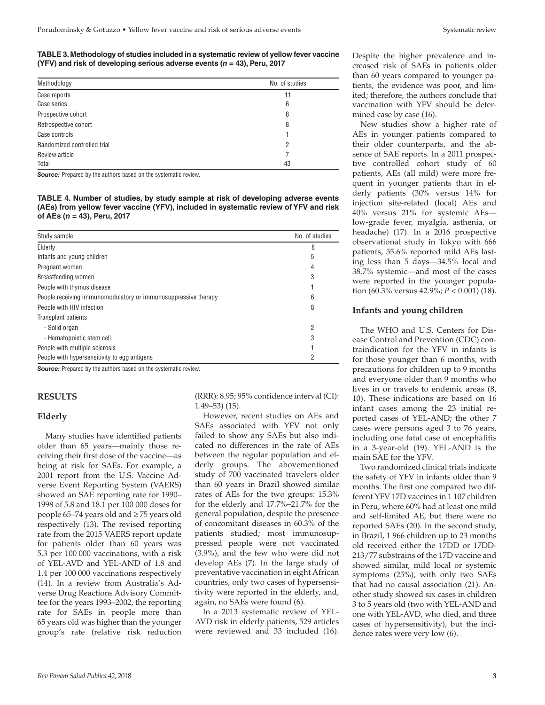**TABLE 3. Methodology of studies included in a systematic review of yellow fever vaccine (YFV) and risk of developing serious adverse events (***n* **= 43), Peru, 2017**

| Methodology                 | No. of studies |
|-----------------------------|----------------|
| Case reports                | 11             |
| Case series                 | 6              |
| Prospective cohort          | 8              |
| Retrospective cohort        | 8              |
| Case controls               |                |
| Randomized controlled trial | 2              |
| Review article              |                |
| Total                       | 43             |

**Source:** Prepared by the authors based on the systematic review.

**TABLE 4. Number of studies, by study sample at risk of developing adverse events (AEs) from yellow fever vaccine (YFV), included in systematic review of YFV and risk of AEs (***n* **= 43), Peru, 2017**

| Study sample                                                   | No. of studies |
|----------------------------------------------------------------|----------------|
| Elderly                                                        | 8              |
| Infants and young children                                     | 5              |
| Pregnant women                                                 | 4              |
| Breastfeeding women                                            | 3              |
| People with thymus disease                                     |                |
| People receiving immunomodulatory or immunosuppressive therapy | 6              |
| People with HIV infection                                      | 8              |
| Transplant patients                                            |                |
| - Solid organ                                                  | 2              |
| - Hematopoietic stem cell                                      | 3              |
| People with multiple sclerosis                                 |                |
| People with hypersensitivity to egg antigens                   | 2              |

**Source:** Prepared by the authors based on the systematic review.

#### **RESULTS**

#### **Elderly**

Many studies have identified patients older than 65 years—mainly those receiving their first dose of the vaccine—as being at risk for SAEs. For example, a 2001 report from the U.S. Vaccine Adverse Event Reporting System (VAERS) showed an SAE reporting rate for 1990– 1998 of 5.8 and 18.1 per 100 000 doses for people 65–74 years old and ≥ 75 years old respectively (13). The revised reporting rate from the 2015 VAERS report update for patients older than 60 years was 5.3 per 100 000 vaccinations, with a risk of YEL-AVD and YEL-AND of 1.8 and 1.4 per 100 000 vaccinations respectively (14). In a review from Australia's Adverse Drug Reactions Advisory Committee for the years 1993–2002, the reporting rate for SAEs in people more than 65 years old was higher than the younger group's rate (relative risk reduction (RRR): 8.95; 95% confidence interval (CI): 1.49–53) (15).

However, recent studies on AEs and SAEs associated with YFV not only failed to show any SAEs but also indicated no differences in the rate of AEs between the regular population and elderly groups. The abovementioned study of 700 vaccinated travelers older than 60 years in Brazil showed similar rates of AEs for the two groups: 15.3% for the elderly and 17.7%–21.7% for the general population, despite the presence of concomitant diseases in 60.3% of the patients studied; most immunosuppressed people were not vaccinated (3.9%), and the few who were did not develop AEs (7). In the large study of preventative vaccination in eight African countries, only two cases of hypersensitivity were reported in the elderly, and, again, no SAEs were found (6).

In a 2013 systematic review of YEL-AVD risk in elderly patients, 529 articles were reviewed and 33 included (16).

Despite the higher prevalence and increased risk of SAEs in patients older than 60 years compared to younger patients, the evidence was poor, and limited; therefore, the authors conclude that vaccination with YFV should be determined case by case (16).

New studies show a higher rate of AEs in younger patients compared to their older counterparts, and the absence of SAE reports. In a 2011 prospective controlled cohort study of 60 patients, AEs (all mild) were more frequent in younger patients than in elderly patients (30% versus 14% for injection site-related (local) AEs and 40% versus 21% for systemic AEs low-grade fever, myalgia, asthenia, or headache) (17). In a 2016 prospective observational study in Tokyo with 666 patients, 55.6% reported mild AEs lasting less than 5 days—34.5% local and 38.7% systemic—and most of the cases were reported in the younger population (60.3% versus 42.9%; *P* < 0.001) (18).

#### **Infants and young children**

The WHO and U.S. Centers for Disease Control and Prevention (CDC) contraindication for the YFV in infants is for those younger than 6 months, with precautions for children up to 9 months and everyone older than 9 months who lives in or travels to endemic areas (8, 10). These indications are based on 16 infant cases among the 23 initial reported cases of YEL-AND; the other 7 cases were persons aged 3 to 76 years, including one fatal case of encephalitis in a 3-year-old (19). YEL-AND is the main SAE for the YFV.

Two randomized clinical trials indicate the safety of YFV in infants older than 9 months. The first one compared two different YFV 17D vaccines in 1 107 children in Peru, where 60% had at least one mild and self-limited AE, but there were no reported SAEs (20). In the second study, in Brazil, 1 966 children up to 23 months old received either the 17DD or 17DD-213/77 substrains of the 17D vaccine and showed similar, mild local or systemic symptoms (25%), with only two SAEs that had no causal association (21). Another study showed six cases in children 3 to 5 years old (two with YEL-AND and one with YEL-AVD, who died, and three cases of hypersensitivity), but the incidence rates were very low (6).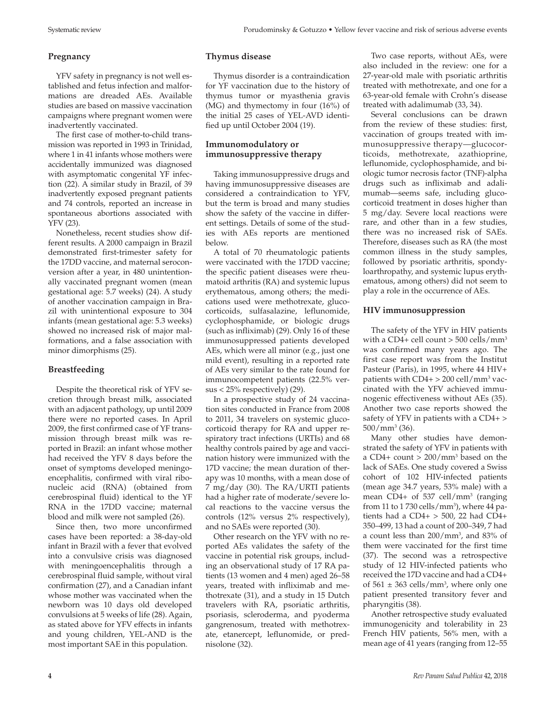# **Pregnancy**

YFV safety in pregnancy is not well established and fetus infection and malformations are dreaded AEs. Available studies are based on massive vaccination campaigns where pregnant women were inadvertently vaccinated.

The first case of mother-to-child transmission was reported in 1993 in Trinidad, where 1 in 41 infants whose mothers were accidentally immunized was diagnosed with asymptomatic congenital YF infection (22). A similar study in Brazil, of 39 inadvertently exposed pregnant patients and 74 controls, reported an increase in spontaneous abortions associated with YFV (23).

Nonetheless, recent studies show different results. A 2000 campaign in Brazil demonstrated first-trimester safety for the 17DD vaccine, and maternal seroconversion after a year, in 480 unintentionally vaccinated pregnant women (mean gestational age: 5.7 weeks) (24). A study of another vaccination campaign in Brazil with unintentional exposure to 304 infants (mean gestational age: 5.3 weeks) showed no increased risk of major malformations, and a false association with minor dimorphisms (25).

# **Breastfeeding**

Despite the theoretical risk of YFV secretion through breast milk, associated with an adjacent pathology, up until 2009 there were no reported cases. In April 2009, the first confirmed case of YF transmission through breast milk was reported in Brazil: an infant whose mother had received the YFV 8 days before the onset of symptoms developed meningoencephalitis, confirmed with viral ribonucleic acid (RNA) (obtained from cerebrospinal fluid) identical to the YF RNA in the 17DD vaccine; maternal blood and milk were not sampled (26).

Since then, two more unconfirmed cases have been reported: a 38-day-old infant in Brazil with a fever that evolved into a convulsive crisis was diagnosed with meningoencephalitis through a cerebrospinal fluid sample, without viral confirmation (27), and a Canadian infant whose mother was vaccinated when the newborn was 10 days old developed convulsions at 5 weeks of life (28). Again, as stated above for YFV effects in infants and young children, YEL-AND is the most important SAE in this population.

# **Thymus disease**

Thymus disorder is a contraindication for YF vaccination due to the history of thymus tumor or myasthenia gravis (MG) and thymectomy in four (16%) of the initial 25 cases of YEL-AVD identified up until October 2004 (19).

# **Immunomodulatory or immunosuppressive therapy**

Taking immunosuppressive drugs and having immunosuppressive diseases are considered a contraindication to YFV, but the term is broad and many studies show the safety of the vaccine in different settings. Details of some of the studies with AEs reports are mentioned below.

A total of 70 rheumatologic patients were vaccinated with the 17DD vaccine; the specific patient diseases were rheumatoid arthritis (RA) and systemic lupus erythematous, among others; the medications used were methotrexate, glucocorticoids, sulfasalazine, leflunomide, cyclophosphamide, or biologic drugs (such as infliximab) (29). Only 16 of these immunosuppressed patients developed AEs, which were all minor (e.g., just one mild event), resulting in a reported rate of AEs very similar to the rate found for immunocompetent patients (22.5% versus < 25% respectively) (29).

In a prospective study of 24 vaccination sites conducted in France from 2008 to 2011, 34 travelers on systemic glucocorticoid therapy for RA and upper respiratory tract infections (URTIs) and 68 healthy controls paired by age and vaccination history were immunized with the 17D vaccine; the mean duration of therapy was 10 months, with a mean dose of 7 mg/day (30). The RA/URTI patients had a higher rate of moderate/severe local reactions to the vaccine versus the controls (12% versus 2% respectively), and no SAEs were reported (30).

Other research on the YFV with no reported AEs validates the safety of the vaccine in potential risk groups, including an observational study of 17 RA patients (13 women and 4 men) aged 26–58 years, treated with infliximab and methotrexate (31), and a study in 15 Dutch travelers with RA, psoriatic arthritis, psoriasis, scleroderma, and pyoderma gangrenosum, treated with methotrexate, etanercept, leflunomide, or prednisolone (32).

Two case reports, without AEs, were also included in the review: one for a 27-year-old male with psoriatic arthritis treated with methotrexate, and one for a 63-year-old female with Crohn's disease treated with adalimumab (33, 34).

Several conclusions can be drawn from the review of these studies: first, vaccination of groups treated with immunosuppressive therapy—glucocorticoids, methotrexate, azathioprine, leflunomide, cyclophosphamide, and biologic tumor necrosis factor (TNF)-alpha drugs such as infliximab and adalimumab—seems safe, including glucocorticoid treatment in doses higher than 5 mg/day. Severe local reactions were rare, and other than in a few studies, there was no increased risk of SAEs. Therefore, diseases such as RA (the most common illness in the study samples, followed by psoriatic arthritis, spondyloarthropathy, and systemic lupus erythematous, among others) did not seem to play a role in the occurrence of AEs.

# **HIV immunosuppression**

The safety of the YFV in HIV patients with a CD4+ cell count  $>$  500 cells/mm<sup>3</sup> was confirmed many years ago. The first case report was from the Institut Pasteur (Paris), in 1995, where 44 HIV+ patients with  $CD4+$   $>$  200 cell/mm<sup>3</sup> vaccinated with the YFV achieved immunogenic effectiveness without AEs (35). Another two case reports showed the safety of YFV in patients with a CD4+ > 500/mm3 (36).

Many other studies have demonstrated the safety of YFV in patients with a CD4+ count > 200/mm3 based on the lack of SAEs. One study covered a Swiss cohort of 102 HIV-infected patients (mean age 34.7 years, 53% male) with a mean CD4+ of 537 cell/mm<sup>3</sup> (ranging from 11 to 1 730 cells/mm<sup>3</sup>), where 44 patients had a  $CD4+$  > 500, 22 had  $CD4+$ 350–499, 13 had a count of 200–349, 7 had a count less than 200/mm3 , and 83% of them were vaccinated for the first time (37). The second was a retrospective study of 12 HIV-infected patients who received the 17D vaccine and had a CD4+ of  $561 \pm 363$  cells/mm<sup>3</sup>, where only one patient presented transitory fever and pharyngitis (38).

Another retrospective study evaluated immunogenicity and tolerability in 23 French HIV patients, 56% men, with a mean age of 41 years (ranging from 12–55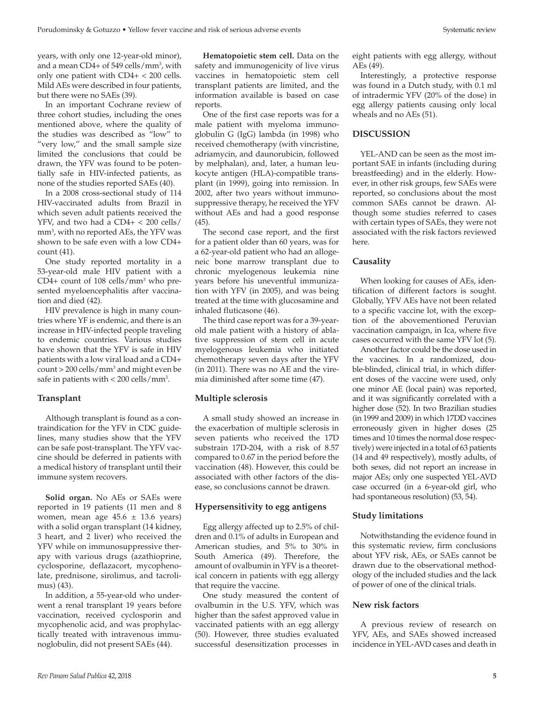years, with only one 12-year-old minor), and a mean CD4+ of 549 cells/mm3 , with only one patient with CD4+ < 200 cells. Mild AEs were described in four patients, but there were no SAEs (39).

In an important Cochrane review of three cohort studies, including the ones mentioned above, where the quality of the studies was described as "low" to "very low," and the small sample size limited the conclusions that could be drawn, the YFV was found to be potentially safe in HIV-infected patients, as none of the studies reported SAEs (40).

In a 2008 cross-sectional study of 114 HIV-vaccinated adults from Brazil in which seven adult patients received the YFV, and two had a CD4+ < 200 cells/ mm3 , with no reported AEs, the YFV was shown to be safe even with a low CD4+ count (41).

One study reported mortality in a 53-year-old male HIV patient with a CD4+ count of 108 cells/mm3 who presented myeloencephalitis after vaccination and died (42).

HIV prevalence is high in many countries where YF is endemic, and there is an increase in HIV-infected people traveling to endemic countries. Various studies have shown that the YFV is safe in HIV patients with a low viral load and a CD4+ count > 200 cells/mm3 and might even be safe in patients with < 200 cells/mm<sup>3</sup>.

### **Transplant**

Although transplant is found as a contraindication for the YFV in CDC guidelines, many studies show that the YFV can be safe post-transplant. The YFV vaccine should be deferred in patients with a medical history of transplant until their immune system recovers.

**Solid organ.** No AEs or SAEs were reported in 19 patients (11 men and 8 women, mean age  $45.6 \pm 13.6$  years) with a solid organ transplant (14 kidney, 3 heart, and 2 liver) who received the YFV while on immunosuppressive therapy with various drugs (azathioprine, cyclosporine, deflazacort, mycophenolate, prednisone, sirolimus, and tacrolimus) (43).

In addition, a 55-year-old who underwent a renal transplant 19 years before vaccination, received cyclosporin and mycophenolic acid, and was prophylactically treated with intravenous immunoglobulin, did not present SAEs (44).

**Hematopoietic stem cell.** Data on the safety and immunogenicity of live virus vaccines in hematopoietic stem cell transplant patients are limited, and the information available is based on case reports.

One of the first case reports was for a male patient with myeloma immunoglobulin G (IgG) lambda (in 1998) who received chemotherapy (with vincristine, adriamycin, and daunorubicin, followed by melphalan), and, later, a human leukocyte antigen (HLA)-compatible transplant (in 1999), going into remission. In 2002, after two years without immunosuppressive therapy, he received the YFV without AEs and had a good response (45).

The second case report, and the first for a patient older than 60 years, was for a 62-year-old patient who had an allogeneic bone marrow transplant due to chronic myelogenous leukemia nine years before his uneventful immunization with YFV (in 2005), and was being treated at the time with glucosamine and inhaled fluticasone (46).

The third case report was for a 39-yearold male patient with a history of ablative suppression of stem cell in acute myelogenous leukemia who initiated chemotherapy seven days after the YFV (in 2011). There was no AE and the viremia diminished after some time (47).

### **Multiple sclerosis**

A small study showed an increase in the exacerbation of multiple sclerosis in seven patients who received the 17D substrain 17D-204, with a risk of 8.57 compared to 0.67 in the period before the vaccination (48). However, this could be associated with other factors of the disease, so conclusions cannot be drawn.

# **Hypersensitivity to egg antigens**

Egg allergy affected up to 2.5% of children and 0.1% of adults in European and American studies, and 5% to 30% in South America (49). Therefore, the amount of ovalbumin in YFV is a theoretical concern in patients with egg allergy that require the vaccine.

One study measured the content of ovalbumin in the U.S. YFV, which was higher than the safest approved value in vaccinated patients with an egg allergy (50). However, three studies evaluated successful desensitization processes in

eight patients with egg allergy, without AEs (49).

Interestingly, a protective response was found in a Dutch study, with 0.1 ml of intradermic YFV (20% of the dose) in egg allergy patients causing only local wheals and no AEs (51).

# **DISCUSSION**

YEL-AND can be seen as the most important SAE in infants (including during breastfeeding) and in the elderly. However, in other risk groups, few SAEs were reported, so conclusions about the most common SAEs cannot be drawn. Although some studies referred to cases with certain types of SAEs, they were not associated with the risk factors reviewed here.

# **Causality**

When looking for causes of AEs, identification of different factors is sought. Globally, YFV AEs have not been related to a specific vaccine lot, with the exception of the abovementioned Peruvian vaccination campaign, in Ica, where five cases occurred with the same YFV lot (5).

Another factor could be the dose used in the vaccines. In a randomized, double-blinded, clinical trial, in which different doses of the vaccine were used, only one minor AE (local pain) was reported, and it was significantly correlated with a higher dose (52). In two Brazilian studies (in 1999 and 2009) in which 17DD vaccines erroneously given in higher doses (25 times and 10 times the normal dose respectively) were injected in a total of 63 patients (14 and 49 respectively), mostly adults, of both sexes, did not report an increase in major AEs; only one suspected YEL-AVD case occurred (in a 6-year-old girl, who had spontaneous resolution) (53, 54).

# **Study limitations**

Notwithstanding the evidence found in this systematic review, firm conclusions about YFV risk, AEs, or SAEs cannot be drawn due to the observational methodology of the included studies and the lack of power of one of the clinical trials.

# **New risk factors**

A previous review of research on YFV, AEs, and SAEs showed increased incidence in YEL-AVD cases and death in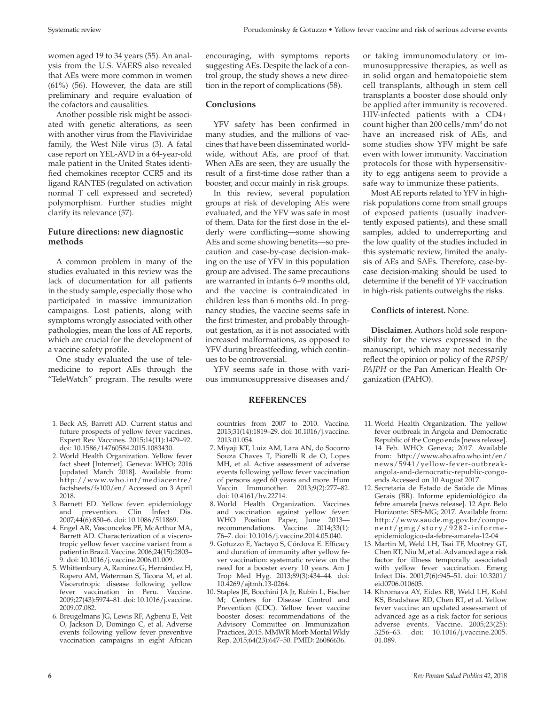women aged 19 to 34 years (55). An analysis from the U.S. VAERS also revealed that AEs were more common in women (61%) (56). However, the data are still preliminary and require evaluation of the cofactors and causalities.

Another possible risk might be associated with genetic alterations, as seen with another virus from the Flaviviridae family, the West Nile virus (3). A fatal case report on YEL-AVD in a 64-year-old male patient in the United States identified chemokines receptor CCR5 and its ligand RANTES (regulated on activation normal T cell expressed and secreted) polymorphism. Further studies might clarify its relevance (57).

### **Future directions: new diagnostic methods**

A common problem in many of the studies evaluated in this review was the lack of documentation for all patients in the study sample, especially those who participated in massive immunization campaigns. Lost patients, along with symptoms wrongly associated with other pathologies, mean the loss of AE reports, which are crucial for the development of a vaccine safety profile.

One study evaluated the use of telemedicine to report AEs through the "TeleWatch" program. The results were

- 1. Beck AS, Barrett AD. Current status and future prospects of yellow fever vaccines. Expert Rev Vaccines. 2015;14(11):1479–92. doi: 10.1586/14760584.2015.1083430.
- 2. World Health Organization. Yellow fever fact sheet [Internet]. Geneva: WHO; 2016 [updated March 2018]. Available from: [http://www.who.int/mediacentre/](http://www.who.int/mediacentre/factsheets/fs100/en/) [factsheets/fs100/en/](http://www.who.int/mediacentre/factsheets/fs100/en/) Accessed on 3 April 2018.
- 3. Barnett ED. Yellow fever: epidemiology and prevention. Clin Infect Dis. 2007;44(6):850–6. doi: 10.1086/511869.
- 4. Engel AR, Vasconcelos PF, McArthur MA, Barrett AD. Characterization of a viscerotropic yellow fever vaccine variant from a patient in Brazil. Vaccine. 2006;24(15):2803– 9. doi: 10.1016/j.vaccine.2006.01.009.
- 5. Whittembury A, Ramirez G, Hernández H, Ropero AM, Waterman S, Ticona M, et al. Viscerotropic disease following yellow fever vaccination in Peru. Vaccine. 2009;27(43):5974–81. doi: 10.1016/j.vaccine. 2009.07.082.
- 6. Breugelmans JG, Lewis RF, Agbenu E, Veit O, Jackson D, Domingo C, et al. Adverse events following yellow fever preventive vaccination campaigns in eight African

encouraging, with symptoms reports suggesting AEs. Despite the lack of a control group, the study shows a new direction in the report of complications (58).

#### **Conclusions**

YFV safety has been confirmed in many studies, and the millions of vaccines that have been disseminated worldwide, without AEs, are proof of that. When AEs are seen, they are usually the result of a first-time dose rather than a booster, and occur mainly in risk groups.

In this review, several population groups at risk of developing AEs were evaluated, and the YFV was safe in most of them. Data for the first dose in the elderly were conflicting—some showing AEs and some showing benefits—so precaution and case-by-case decision-making on the use of YFV in this population group are advised. The same precautions are warranted in infants 6–9 months old, and the vaccine is contraindicated in children less than 6 months old. In pregnancy studies, the vaccine seems safe in the first trimester, and probably throughout gestation, as it is not associated with increased malformations, as opposed to YFV during breastfeeding, which continues to be controversial.

YFV seems safe in those with various immunosuppressive diseases and/

#### **REFERENCES**

countries from 2007 to 2010. Vaccine. 2013;31(14):1819–29. doi: 10.1016/j.vaccine. 2013.01.054.

- 7. Miyaji KT, Luiz AM, Lara AN, do Socorro Souza Chaves T, Piorelli R de O, Lopes MH, et al. Active assessment of adverse events following yellow fever vaccination of persons aged 60 years and more. Hum Vaccin Immunother. 2013;9(2):277–82. doi: 10.4161/hv.22714.
- 8. World Health Organization. Vaccines and vaccination against yellow fever: WHO Position Paper, June 2013recommendations. Vaccine. 2014;33(1): 76–7. doi: 10.1016/j.vaccine.2014.05.040.
- 9. Gotuzzo E, Yactayo S, Córdova E. Efficacy and duration of immunity after yellow fever vaccination: systematic review on the need for a booster every 10 years. Am J Trop Med Hyg. 2013;89(3):434–44. doi: 10.4269/ajtmh.13-0264.
- 10. Staples JE, Bocchini JA Jr, Rubin L, Fischer M; Centers for Disease Control and Prevention (CDC). Yellow fever vaccine booster doses: recommendations of the Advisory Committee on Immunization Practices, 2015. MMWR Morb Mortal Wkly Rep. 2015;64(23):647–50. PMID: 26086636.

or taking immunomodulatory or immunosuppressive therapies, as well as in solid organ and hematopoietic stem cell transplants, although in stem cell transplants a booster dose should only be applied after immunity is recovered. HIV-infected patients with a CD4+ count higher than 200 cells/mm3 do not have an increased risk of AEs, and some studies show YFV might be safe even with lower immunity. Vaccination protocols for those with hypersensitivity to egg antigens seem to provide a safe way to immunize these patients.

Most AE reports related to YFV in highrisk populations come from small groups of exposed patients (usually inadvertently exposed patients), and these small samples, added to underreporting and the low quality of the studies included in this systematic review, limited the analysis of AEs and SAEs. Therefore, case-bycase decision-making should be used to determine if the benefit of YF vaccination in high-risk patients outweighs the risks.

**Conflicts of interest.** None.

**Disclaimer.** Authors hold sole responsibility for the views expressed in the manuscript, which may not necessarily reflect the opinion or policy of the *RPSP/ PAJPH* or the Pan American Health Organization (PAHO).

- 11. World Health Organization. The yellow fever outbreak in Angola and Democratic Republic of the Congo ends [news release]. 14 Feb. WHO: Geneva; 2017. Available from: [http://www.aho.afro.who.int/en/](http://www.aho.afro.who.int/en/news/5941/yellow-fever-outbreak-angola-and-democratic-republic-congo-ends) [news/5941/yellow-fever-outbreak](http://www.aho.afro.who.int/en/news/5941/yellow-fever-outbreak-angola-and-democratic-republic-congo-ends)[angola-and-democratic-republic-congo](http://www.aho.afro.who.int/en/news/5941/yellow-fever-outbreak-angola-and-democratic-republic-congo-ends)[ends](http://www.aho.afro.who.int/en/news/5941/yellow-fever-outbreak-angola-and-democratic-republic-congo-ends) Accessed on 10 August 2017.
- 12. Secretaria de Estado de Saúde de Minas Gerais (BR). Informe epidemiológico da febre amarela [news release]. 12 Apr. Belo Horizonte: SES-MG; 2017. Available from: [http://www.saude.mg.gov.br/compo](http://www.saude.mg.gov.br/component/gmg/story/9282-informe-)[nent/gmg/story/9282-informe](http://www.saude.mg.gov.br/component/gmg/story/9282-informe-)epidemiologico-da-febre-amarela-12-04
- 13. Martin M, Weld LH, Tsai TF, Mootrey GT, Chen RT, Niu M, et al. Advanced age a risk factor for illness temporally associated with yellow fever vaccination. Emerg Infect Dis. 2001;7(6):945–51. doi: 10.3201/ eid0706.010605.
- 14. Khromava AY, Eidex RB, Weld LH, Kohl KS, Bradshaw RD, Chen RT, et al. Yellow fever vaccine: an updated assessment of advanced age as a risk factor for serious adverse events. Vaccine. 2005;23(25): 3256–63. doi: 10.1016/j.vaccine.2005. 01.089.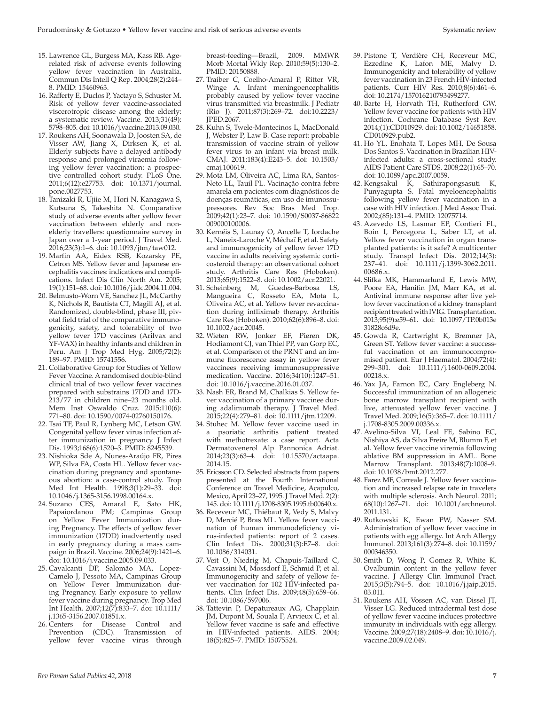- 15. Lawrence GL, Burgess MA, Kass RB. Agerelated risk of adverse events following yellow fever vaccination in Australia. Commun Dis Intell Q Rep. 2004;28(2):244– 8. PMID: 15460963.
- 16. Rafferty E, Duclos P, Yactayo S, Schuster M. Risk of yellow fever vaccine-associated viscerotropic disease among the elderly: a systematic review. Vaccine. 2013;31(49): 5798–805. doi: 10.1016/j.vaccine.2013.09.030.
- 17. Roukens AH, Soonawala D, Joosten SA, de Visser AW, Jiang X, Dirksen K, et al. Elderly subjects have a delayed antibody response and prolonged viraemia following yellow fever vaccination: a prospective controlled cohort study. PLoS One. 2011;6(12):e27753. doi: 10.1371/journal. pone.0027753.
- 18. Tanizaki R, Ujiie M, Hori N, Kanagawa S, Kutsuna S, Takeshita N. Comparative study of adverse events after yellow fever vaccination between elderly and nonelderly travellers: questionnaire survey in Japan over a 1-year period. J Travel Med. 2016;23(3):1–6. doi: 10.1093/jtm/taw012.
- 19. Marfin AA, Eidex RSB, Kozarsky PE, Cetron MS. Yellow fever and Japanese encephalitis vaccines: indications and complications. Infect Dis Clin North Am. 2005; 19(1):151–68. doi: 10.1016/j.idc.2004.11.004.
- 20. Belmusto-Worn VE, Sanchez JL, McCarthy K, Nichols R, Bautista CT, Magill AJ, et al. Randomized, double-blind, phase III, pivotal field trial of the comparative immunogenicity, safety, and tolerability of two yellow fever 17D vaccines (Arilvax and YF-VAX) in healthy infants and children in Peru. Am J Trop Med Hyg. 2005;72(2): 189–97. PMID: 15741556.
- 21. Collaborative Group for Studies of Yellow Fever Vaccine. A randomised double-blind clinical trial of two yellow fever vaccines prepared with substrains 17DD and 17D-213/77 in children nine–23 months old. Mem Inst Oswaldo Cruz. 2015;110(6): 771–80. doi: 10.1590/0074-02760150176.
- 22. Tsai TF, Paul R, Lynberg MC, Letson GW. Congenital yellow fever virus infection after immunization in pregnancy. J Infect Dis. 1993;168(6):1520–3. PMID: 8245539.
- 23. Nishioka Sde A, Nunes-Araújo FR, Pires WP, Silva FA, Costa HL. Yellow fever vaccination during pregnancy and spontaneous abortion: a case-control study. Trop Med Int Health. 1998;3(1):29–33. doi: 10.1046/j.1365-3156.1998.00164.x.
- 24. Suzano CES, Amaral E, Sato HK, Papaiordanou PM; Campinas Group on Yellow Fever Immunization during Pregnancy. The effects of yellow fever immunization (17DD) inadvertently used in early pregnancy during a mass campaign in Brazil. Vaccine. 2006;24(9):1421–6. doi: 10.1016/j.vaccine.2005.09.033.
- 25. Cavalcanti DP, Salomão MA, Lopez-Camelo J, Pessoto MA, Campinas Group on Yellow Fever Immunization during Pregnancy. Early exposure to yellow fever vaccine during pregnancy. Trop Med Int Health. 2007;12(7):833–7. doi: 10.1111/ j.1365-3156.2007.01851.x.
- 26. Centers for Disease Control and Prevention (CDC). Transmission of yellow fever vaccine virus through

breast-feeding—Brazil, 2009. MMWR Morb Mortal Wkly Rep. 2010;59(5):130–2. PMID: 20150888.

- 27. Traiber C, Coelho-Amaral P, Ritter VR, Winge A. Infant meningoencephalitis probably caused by yellow fever vaccine virus transmitted via breastmilk. J Pediatr (Rio J). 2011;87(3):269–72. doi:10.2223/ JPED.2067.
- 28. Kuhn S, Twele-Montecinos L, MacDonald J, Webster P, Law B. Case report: probable transmission of vaccine strain of yellow fever virus to an infant via breast milk. CMAJ. 2011;183(4):E243–5. doi: 10.1503/ cmaj.100619.
- 29. Mota LM, Oliveira AC, Lima RA, Santos-Neto LL, Tauil PL. Vacinação contra febre amarela em pacientes com diagnósticos de doenças reumáticas, em uso de imunossupressores. Rev Soc Bras Med Trop. 2009;42(1):23–7. doi: 10.1590/S0037-86822 009000100006.
- 30. Kernéis S, Launay O, Ancelle T, Iordache L, Naneix-Laroche V, Méchaï F, et al. Safety and immunogenicity of yellow fever 17D vaccine in adults receiving systemic corticosteroid therapy: an observational cohort study. Arthritis Care Res (Hoboken). 2013;65(9):1522–8. doi: 10.1002/acr.22021.
- 31. Scheinberg M, Guedes-Barbosa LS, Mangueira C, Rosseto EA, Mota L, Oliveira AC, et al. Yellow fever revaccination during infliximab therapy. Arthritis Care Res (Hoboken). 2010;62(6):896–8. doi: 10.1002/acr.20045.
- 32. Wieten RW, Jonker EF, Pieren DK, Hodiamont CJ, van Thiel PP, van Gorp EC, et al. Comparison of the PRNT and an immune fluorescence assay in yellow fever vaccinees receiving immunosuppressive medication. Vaccine. 2016;34(10):1247–51. doi: 10.1016/j.vaccine.2016.01.037.
- 33. Nash ER, Brand M, Chalkias S. Yellow fever vaccination of a primary vaccinee during adalimumab therapy. J Travel Med. 2015;22(4):279–81. doi: 10.1111/jtm.12209.
- 34. Stuhec M. Yellow fever vaccine used in a psoriatic arthritis patient treated with methotrexate: a case report. Acta Dermatovenerol Alp Pannonica Adriat. 2014;23(3):63–4. doi: 10.15570/actaapa. 2014.15.
- 35. Ericsson CD. Selected abstracts from papers presented at the Fourth International Conference on Travel Medicine, Acapulco, Mexico, April 23–27, 1995. J Travel Med. 2(2): 145. doi: 10.1111/j.1708-8305.1995.tb00640.x.
- 36. Receveur MC, Thiébaut R, Vedy S, Malvy D, Mercié P, Bras ML. Yellow fever vaccination of human immunodeficiency virus-infected patients: report of 2 cases. Clin Infect Dis. 2000;31(3):E7–8. doi: 10.1086/314031.
- 37. Veit O, Niedrig M, Chapuis-Taillard C, Cavassini M, Mossdorf E, Schmid P, et al. Immunogenicity and safety of yellow fever vaccination for 102 HIV-infected patients. Clin Infect Dis. 2009;48(5):659–66. doi: 10.1086/597006.
- 38. Tattevin P, Depatureaux AG, Chapplain JM, Dupont M, Souala F, Arvieux C, et al. Yellow fever vaccine is safe and effective in HIV-infected patients. AIDS. 2004; 18(5):825–7. PMID: 15075524.
- 39. Pistone T, Verdière CH, Receveur MC, Ezzedine K, Lafon ME, Malvy D. Immunogenicity and tolerability of yellow fever vaccination in 23 French HIV-infected patients. Curr HIV Res. 2010;8(6):461–6. doi: 10.2174/157016210793499277.
- 40. Barte H, Horvath TH, Rutherford GW. Yellow fever vaccine for patients with HIV infection. Cochrane Database Syst Rev. 2014;(1):CD010929. doi: 10.1002/14651858. CD010929.pub2.
- 41. Ho YL, Enohata T, Lopes MH, De Sousa Dos Santos S. Vaccination in Brazilian HIVinfected adults: a cross-sectional study. AIDS Patient Care STDS. 2008;22(1):65–70. doi: 10.1089/apc.2007.0059.
- 42. Kengsakul K, Sathirapongsasuti K, Punyagupta S. Fatal myeloencephalitis following yellow fever vaccination in a case with HIV infection. J Med Assoc Thai. 2002;(85):131–4. PMID: 12075714.
- 43. Azevedo LS, Lasmar EP, Contieri FL, Boin I, Percegona L, Saber LT, et al. Yellow fever vaccination in organ transplanted patients: is it safe? A multicenter study. Transpl Infect Dis. 2012;14(3): 237–41. doi: 10.1111/j.1399-3062.2011. 00686.x.
- 44. Slifka MK, Hammarlund E, Lewis MW, Poore EA, Hanifin JM, Marr KA, et al. Antiviral immune response after live yellow fever vaccination of a kidney transplant recipient treated with IVIG. Transplantation. 2013;95(9):e59–61. doi: 10.1097/TP.0b013e 31828c6d9e.
- 45. Gowda R, Cartwright K, Bremner JA, Green ST. Yellow fever vaccine: a successful vaccination of an immunocompromised patient. Eur J Haematol. 2004;72(4): 299–301. doi: 10.1111/j.1600-0609.2004. 00218.x.
- 46. Yax JA, Farnon EC, Cary Engleberg N. Successful immunization of an allogeneic bone marrow transplant recipient with live, attenuated yellow fever vaccine. J Travel Med. 2009;16(5):365–7. doi: 10.1111/ j.1708-8305.2009.00336.x.
- 47. Avelino-Silva VI, Leal FE, Sabino EC, Nishiya AS, da Silva Freire M, Blumm F, et al. Yellow fever vaccine viremia following ablative BM suppression in AML. Bone Marrow Transplant. 2013;48(7):1008–9. doi: 10.1038/bmt.2012.277.
- 48. Farez MF, Correale J. Yellow fever vaccination and increased relapse rate in travelers with multiple sclerosis. Arch Neurol. 2011; 68(10):1267–71. doi: 10.1001/archneurol. 2011.131.
- 49. Rutkowski K, Ewan PW, Nasser SM. Administration of yellow fever vaccine in patients with egg allergy. Int Arch Allergy Immunol. 2013;161(3):274–8. doi: 10.1159/ 000346350.
- 50. Smith D, Wong P, Gomez R, White K. Ovalbumin content in the yellow fever vaccine. J Allergy Clin Immunol Pract. 2015;3(5):794–5. doi: 10.1016/j.jaip.2015. 03.011.
- 51. Roukens AH, Vossen AC, van Dissel JT, Visser LG. Reduced intradermal test dose of yellow fever vaccine induces protective immunity in individuals with egg allergy. Vaccine. 2009;27(18):2408–9. doi: 10.1016/j. vaccine.2009.02.049.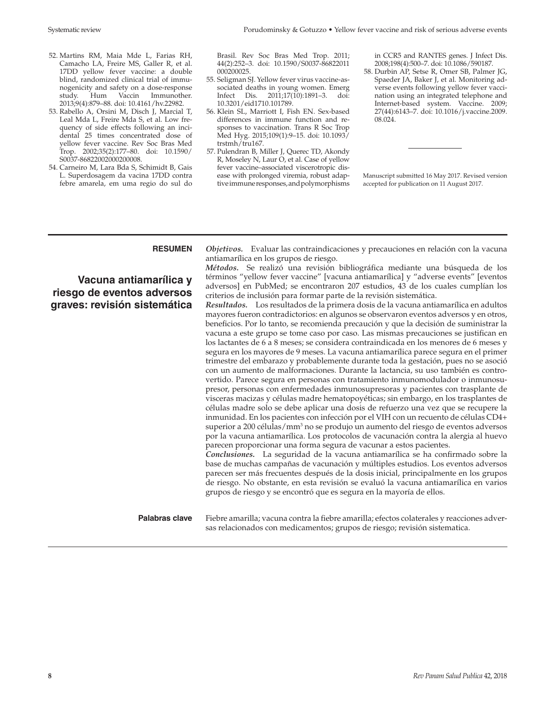- 52. Martins RM, Maia Mde L, Farias RH, Camacho LA, Freire MS, Galler R, et al. 17DD yellow fever vaccine: a double blind, randomized clinical trial of immunogenicity and safety on a dose-response study. Hum Vaccin Immunother. 2013;9(4):879–88. doi: 10.4161/hv.22982.
- 53. Rabello A, Orsini M, Disch J, Marcial T, Leal Mda L, Freire Mda S, et al. Low frequency of side effects following an incidental 25 times concentrated dose of yellow fever vaccine. Rev Soc Bras Med Trop. 2002;35(2):177–80. doi: 10.1590/ S0037-86822002000200008.
- 54. Carneiro M, Lara Bda S, Schimidt B, Gais L. Superdosagem da vacina 17DD contra febre amarela, em uma regio do sul do

Systematic review Porudominsky & Gotuzzo • Yellow fever vaccine and risk of serious adverse events

Brasil. Rev Soc Bras Med Trop. 2011; 44(2):252–3. doi: 10.1590/S0037-86822011 000200025.

- 55. Seligman SJ. Yellow fever virus vaccine-associated deaths in young women. Emerg Infect Dis. 2011;17(10):1891–3. doi: 10.3201/eid1710.101789.
- 56. Klein SL, Marriott I, Fish EN. Sex-based differences in immune function and responses to vaccination. Trans R Soc Trop Med Hyg. 2015;109(1):9–15. doi: 10.1093/ trstmh/tru167.
- 57. Pulendran B, Miller J, Querec TD, Akondy R, Moseley N, Laur O, et al. Case of yellow fever vaccine–associated viscerotropic disease with prolonged viremia, robust adaptive immune responses, and polymorphisms

in CCR5 and RANTES genes. J Infect Dis. 2008;198(4):500–7. doi: 10.1086/590187.

58. Durbin AP, Setse R, Omer SB, Palmer JG, Spaeder JA, Baker J, et al. Monitoring adverse events following yellow fever vaccination using an integrated telephone and Internet-based system. Vaccine. 2009; 27(44):6143–7. doi: 10.1016/j.vaccine.2009. 08.024.

Manuscript submitted 16 May 2017. Revised version accepted for publication on 11 August 2017.

**Vacuna antiamarílica y riesgo de eventos adversos graves: revisión sistemática**

**RESUMEN** *Objetivos.* Evaluar las contraindicaciones y precauciones en relación con la vacuna antiamarílica en los grupos de riesgo.

*Métodos.* Se realizó una revisión bibliográfica mediante una búsqueda de los términos "yellow fever vaccine" [vacuna antiamarílica] y "adverse events" [eventos adversos] en PubMed; se encontraron 207 estudios, 43 de los cuales cumplían los criterios de inclusión para formar parte de la revisión sistemática.

*Resultados.* Los resultados de la primera dosis de la vacuna antiamarílica en adultos mayores fueron contradictorios: en algunos se observaron eventos adversos y en otros, beneficios. Por lo tanto, se recomienda precaución y que la decisión de suministrar la vacuna a este grupo se tome caso por caso. Las mismas precauciones se justifican en los lactantes de 6 a 8 meses; se considera contraindicada en los menores de 6 meses y segura en los mayores de 9 meses. La vacuna antiamarílica parece segura en el primer trimestre del embarazo y probablemente durante toda la gestación, pues no se asoció con un aumento de malformaciones. Durante la lactancia, su uso también es controvertido. Parece segura en personas con tratamiento inmunomodulador o inmunosupresor, personas con enfermedades inmunosupresoras y pacientes con trasplante de visceras macizas y células madre hematopoyéticas; sin embargo, en los trasplantes de células madre solo se debe aplicar una dosis de refuerzo una vez que se recupere la inmunidad. En los pacientes con infección por el VIH con un recuento de células CD4+ superior a 200 células/mm<sup>3</sup> no se produjo un aumento del riesgo de eventos adversos por la vacuna antiamarílica. Los protocolos de vacunación contra la alergia al huevo parecen proporcionar una forma segura de vacunar a estos pacientes.

*Conclusiones.* La seguridad de la vacuna antiamarílica se ha confirmado sobre la base de muchas campañas de vacunación y múltiples estudios. Los eventos adversos parecen ser más frecuentes después de la dosis inicial, principalmente en los grupos de riesgo. No obstante, en esta revisión se evaluó la vacuna antiamarílica en varios grupos de riesgo y se encontró que es segura en la mayoría de ellos.

**Palabras clave** Fiebre amarilla; vacuna contra la fiebre amarilla; efectos colaterales y reacciones adversas relacionados con medicamentos; grupos de riesgo; revisión sistematica.